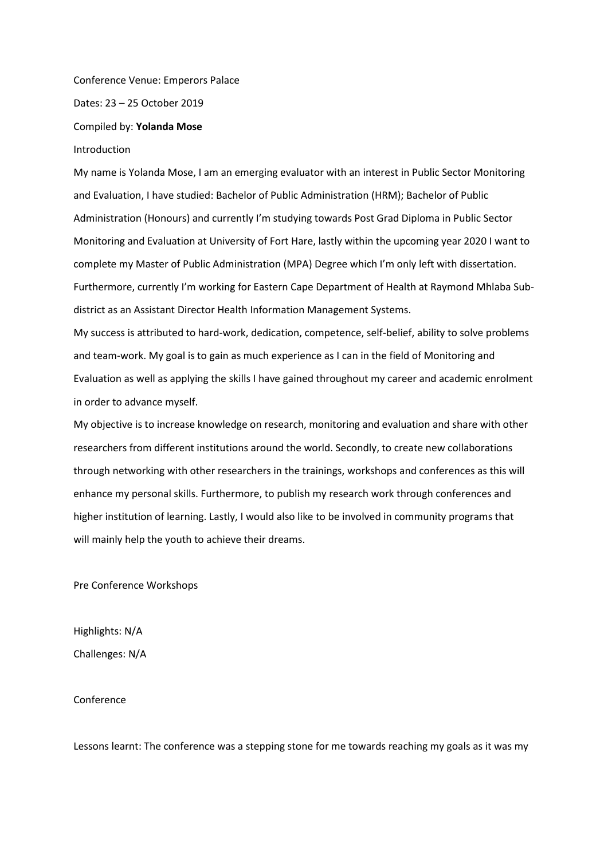Conference Venue: Emperors Palace

Dates: 23 – 25 October 2019

Compiled by: **Yolanda Mose**

Introduction

My name is Yolanda Mose, I am an emerging evaluator with an interest in Public Sector Monitoring and Evaluation, I have studied: Bachelor of Public Administration (HRM); Bachelor of Public Administration (Honours) and currently I'm studying towards Post Grad Diploma in Public Sector Monitoring and Evaluation at University of Fort Hare, lastly within the upcoming year 2020 I want to complete my Master of Public Administration (MPA) Degree which I'm only left with dissertation. Furthermore, currently I'm working for Eastern Cape Department of Health at Raymond Mhlaba Subdistrict as an Assistant Director Health Information Management Systems.

My success is attributed to hard-work, dedication, competence, self-belief, ability to solve problems and team-work. My goal is to gain as much experience as I can in the field of Monitoring and Evaluation as well as applying the skills I have gained throughout my career and academic enrolment in order to advance myself.

My objective is to increase knowledge on research, monitoring and evaluation and share with other researchers from different institutions around the world. Secondly, to create new collaborations through networking with other researchers in the trainings, workshops and conferences as this will enhance my personal skills. Furthermore, to publish my research work through conferences and higher institution of learning. Lastly, I would also like to be involved in community programs that will mainly help the youth to achieve their dreams.

Pre Conference Workshops

Highlights: N/A Challenges: N/A

Conference

Lessons learnt: The conference was a stepping stone for me towards reaching my goals as it was my